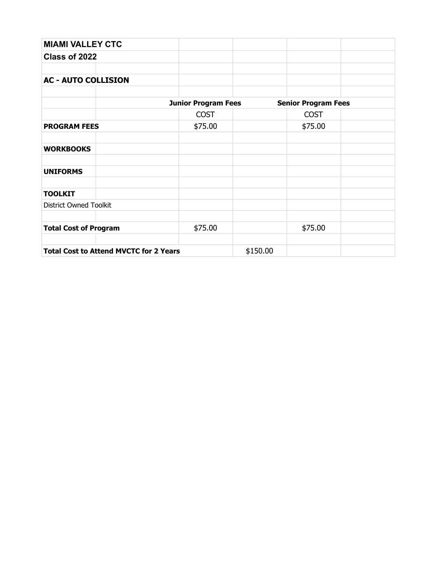| <b>MIAMI VALLEY CTC</b>                       |                            |          |                            |  |
|-----------------------------------------------|----------------------------|----------|----------------------------|--|
| Class of 2022                                 |                            |          |                            |  |
|                                               |                            |          |                            |  |
| <b>AC - AUTO COLLISION</b>                    |                            |          |                            |  |
|                                               |                            |          |                            |  |
|                                               | <b>Junior Program Fees</b> |          | <b>Senior Program Fees</b> |  |
|                                               | <b>COST</b>                |          | <b>COST</b>                |  |
| <b>PROGRAM FEES</b>                           | \$75.00                    |          | \$75.00                    |  |
|                                               |                            |          |                            |  |
| <b>WORKBOOKS</b>                              |                            |          |                            |  |
|                                               |                            |          |                            |  |
| <b>UNIFORMS</b>                               |                            |          |                            |  |
|                                               |                            |          |                            |  |
| <b>TOOLKIT</b>                                |                            |          |                            |  |
| <b>District Owned Toolkit</b>                 |                            |          |                            |  |
|                                               |                            |          |                            |  |
| <b>Total Cost of Program</b>                  | \$75.00                    |          | \$75.00                    |  |
|                                               |                            |          |                            |  |
| <b>Total Cost to Attend MVCTC for 2 Years</b> |                            | \$150.00 |                            |  |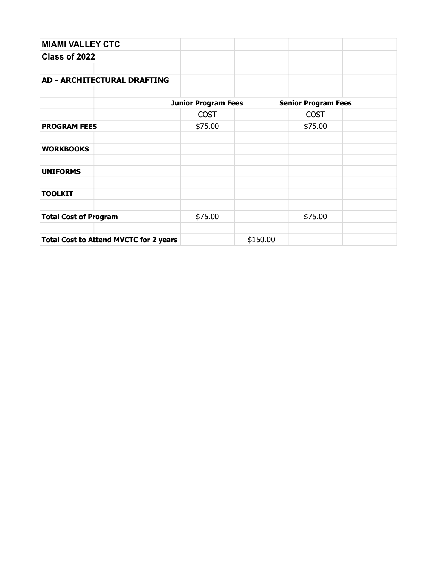| <b>MIAMI VALLEY CTC</b>                       |                            |          |                            |  |
|-----------------------------------------------|----------------------------|----------|----------------------------|--|
| Class of 2022                                 |                            |          |                            |  |
|                                               |                            |          |                            |  |
| <b>AD - ARCHITECTURAL DRAFTING</b>            |                            |          |                            |  |
|                                               |                            |          |                            |  |
|                                               | <b>Junior Program Fees</b> |          | <b>Senior Program Fees</b> |  |
|                                               | <b>COST</b>                |          | <b>COST</b>                |  |
| <b>PROGRAM FEES</b>                           | \$75.00                    |          | \$75.00                    |  |
|                                               |                            |          |                            |  |
| <b>WORKBOOKS</b>                              |                            |          |                            |  |
|                                               |                            |          |                            |  |
| <b>UNIFORMS</b>                               |                            |          |                            |  |
|                                               |                            |          |                            |  |
| <b>TOOLKIT</b>                                |                            |          |                            |  |
|                                               |                            |          |                            |  |
| <b>Total Cost of Program</b>                  | \$75.00                    |          | \$75.00                    |  |
|                                               |                            |          |                            |  |
| <b>Total Cost to Attend MVCTC for 2 years</b> |                            | \$150.00 |                            |  |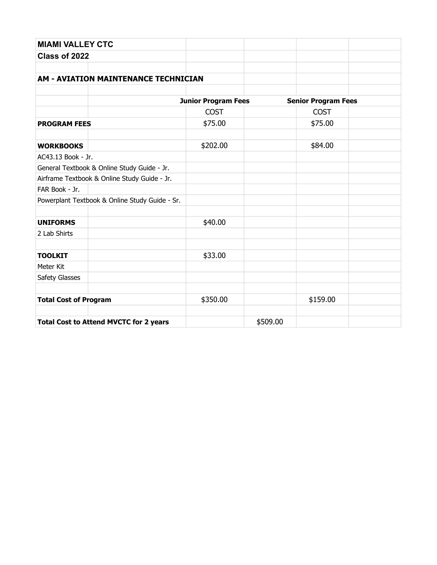| <b>MIAMI VALLEY CTC</b>                        |                            |          |                            |  |
|------------------------------------------------|----------------------------|----------|----------------------------|--|
| Class of 2022                                  |                            |          |                            |  |
|                                                |                            |          |                            |  |
| <b>AM - AVIATION MAINTENANCE TECHNICIAN</b>    |                            |          |                            |  |
|                                                |                            |          |                            |  |
|                                                | <b>Junior Program Fees</b> |          | <b>Senior Program Fees</b> |  |
|                                                | <b>COST</b>                |          | <b>COST</b>                |  |
| <b>PROGRAM FEES</b>                            | \$75.00                    |          | \$75.00                    |  |
| <b>WORKBOOKS</b>                               | \$202.00                   |          | \$84.00                    |  |
| AC43.13 Book - Jr.                             |                            |          |                            |  |
| General Textbook & Online Study Guide - Jr.    |                            |          |                            |  |
| Airframe Textbook & Online Study Guide - Jr.   |                            |          |                            |  |
| FAR Book - Jr.                                 |                            |          |                            |  |
| Powerplant Textbook & Online Study Guide - Sr. |                            |          |                            |  |
| <b>UNIFORMS</b>                                | \$40.00                    |          |                            |  |
| 2 Lab Shirts                                   |                            |          |                            |  |
| <b>TOOLKIT</b>                                 | \$33.00                    |          |                            |  |
| Meter Kit                                      |                            |          |                            |  |
| Safety Glasses                                 |                            |          |                            |  |
|                                                |                            |          |                            |  |
| <b>Total Cost of Program</b>                   | \$350.00                   |          | \$159.00                   |  |
| <b>Total Cost to Attend MVCTC for 2 years</b>  |                            | \$509.00 |                            |  |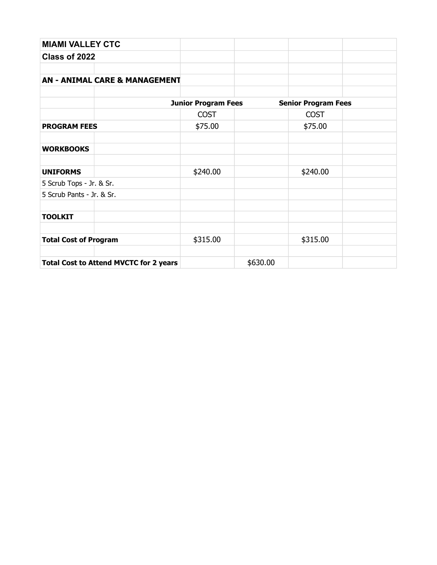| <b>MIAMI VALLEY CTC</b>                       |                            |          |                            |  |
|-----------------------------------------------|----------------------------|----------|----------------------------|--|
| Class of 2022                                 |                            |          |                            |  |
|                                               |                            |          |                            |  |
| <b>AN - ANIMAL CARE &amp; MANAGEMENT</b>      |                            |          |                            |  |
|                                               |                            |          |                            |  |
|                                               | <b>Junior Program Fees</b> |          | <b>Senior Program Fees</b> |  |
|                                               | <b>COST</b>                |          | <b>COST</b>                |  |
| <b>PROGRAM FEES</b>                           | \$75.00                    |          | \$75.00                    |  |
|                                               |                            |          |                            |  |
| <b>WORKBOOKS</b>                              |                            |          |                            |  |
|                                               |                            |          |                            |  |
| <b>UNIFORMS</b>                               | \$240.00                   |          | \$240.00                   |  |
| 5 Scrub Tops - Jr. & Sr.                      |                            |          |                            |  |
| 5 Scrub Pants - Jr. & Sr.                     |                            |          |                            |  |
|                                               |                            |          |                            |  |
| <b>TOOLKIT</b>                                |                            |          |                            |  |
|                                               |                            |          |                            |  |
| <b>Total Cost of Program</b>                  | \$315.00                   |          | \$315.00                   |  |
|                                               |                            |          |                            |  |
| <b>Total Cost to Attend MVCTC for 2 years</b> |                            | \$630.00 |                            |  |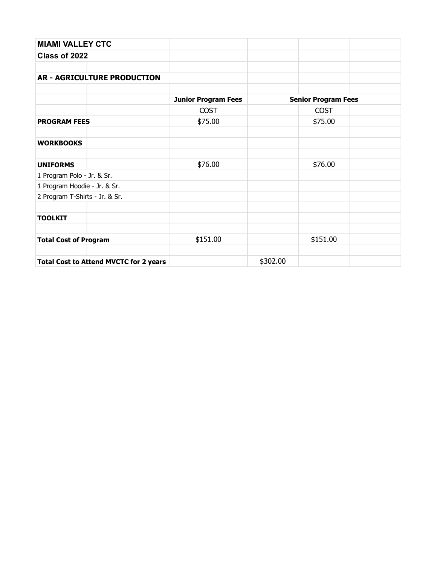| <b>MIAMI VALLEY CTC</b>                       |                            |          |                            |  |
|-----------------------------------------------|----------------------------|----------|----------------------------|--|
| Class of 2022                                 |                            |          |                            |  |
|                                               |                            |          |                            |  |
| <b>AR - AGRICULTURE PRODUCTION</b>            |                            |          |                            |  |
|                                               |                            |          |                            |  |
|                                               | <b>Junior Program Fees</b> |          | <b>Senior Program Fees</b> |  |
|                                               | <b>COST</b>                |          | <b>COST</b>                |  |
| <b>PROGRAM FEES</b>                           | \$75.00                    |          | \$75.00                    |  |
| <b>WORKBOOKS</b>                              |                            |          |                            |  |
| <b>UNIFORMS</b>                               | \$76.00                    |          | \$76.00                    |  |
| 1 Program Polo - Jr. & Sr.                    |                            |          |                            |  |
| 1 Program Hoodie - Jr. & Sr.                  |                            |          |                            |  |
| 2 Program T-Shirts - Jr. & Sr.                |                            |          |                            |  |
| <b>TOOLKIT</b>                                |                            |          |                            |  |
|                                               |                            |          |                            |  |
| <b>Total Cost of Program</b>                  | \$151.00                   |          | \$151.00                   |  |
| <b>Total Cost to Attend MVCTC for 2 years</b> |                            | \$302.00 |                            |  |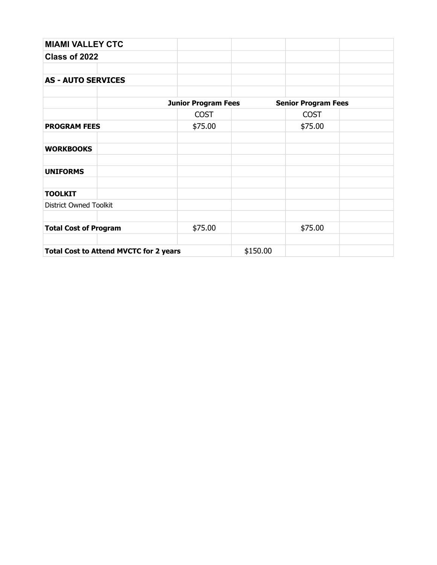| <b>MIAMI VALLEY CTC</b>                       |                            |          |                            |  |
|-----------------------------------------------|----------------------------|----------|----------------------------|--|
| Class of 2022                                 |                            |          |                            |  |
|                                               |                            |          |                            |  |
| <b>AS - AUTO SERVICES</b>                     |                            |          |                            |  |
|                                               |                            |          |                            |  |
|                                               | <b>Junior Program Fees</b> |          | <b>Senior Program Fees</b> |  |
|                                               | <b>COST</b>                |          | <b>COST</b>                |  |
| <b>PROGRAM FEES</b>                           | \$75.00                    |          | \$75.00                    |  |
|                                               |                            |          |                            |  |
| <b>WORKBOOKS</b>                              |                            |          |                            |  |
| <b>UNIFORMS</b>                               |                            |          |                            |  |
| <b>TOOLKIT</b>                                |                            |          |                            |  |
| <b>District Owned Toolkit</b>                 |                            |          |                            |  |
| <b>Total Cost of Program</b>                  | \$75.00                    |          | \$75.00                    |  |
|                                               |                            |          |                            |  |
| <b>Total Cost to Attend MVCTC for 2 years</b> |                            | \$150.00 |                            |  |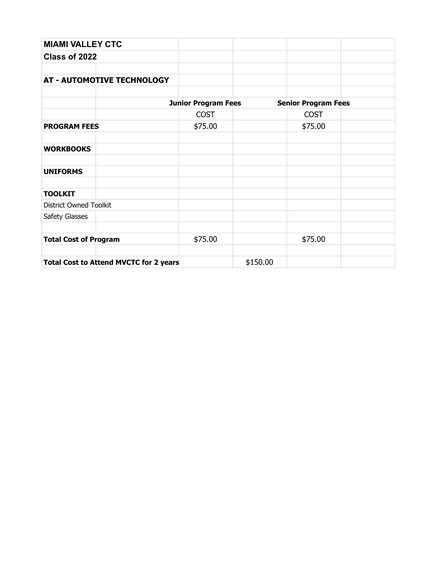| <b>MIAMI VALLEY CTC</b>                       |                            |          |                            |  |
|-----------------------------------------------|----------------------------|----------|----------------------------|--|
| Class of 2022                                 |                            |          |                            |  |
|                                               |                            |          |                            |  |
| <b>AT - AUTOMOTIVE TECHNOLOGY</b>             |                            |          |                            |  |
|                                               | <b>Junior Program Fees</b> |          | <b>Senior Program Fees</b> |  |
|                                               | <b>COST</b>                |          | <b>COST</b>                |  |
|                                               |                            |          |                            |  |
| <b>PROGRAM FEES</b>                           | \$75.00                    |          | \$75.00                    |  |
| <b>WORKBOOKS</b>                              |                            |          |                            |  |
| <b>UNIFORMS</b>                               |                            |          |                            |  |
| <b>TOOLKIT</b>                                |                            |          |                            |  |
| <b>District Owned Toolkit</b>                 |                            |          |                            |  |
| Safety Glasses                                |                            |          |                            |  |
| <b>Total Cost of Program</b>                  | \$75.00                    |          | \$75.00                    |  |
| <b>Total Cost to Attend MVCTC for 2 years</b> |                            | \$150.00 |                            |  |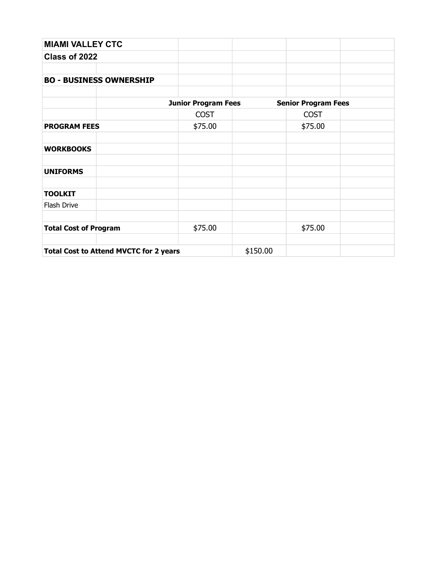| <b>MIAMI VALLEY CTC</b>                       |                            |          |                            |  |
|-----------------------------------------------|----------------------------|----------|----------------------------|--|
| Class of 2022                                 |                            |          |                            |  |
|                                               |                            |          |                            |  |
| <b>BO - BUSINESS OWNERSHIP</b>                |                            |          |                            |  |
|                                               |                            |          |                            |  |
|                                               | <b>Junior Program Fees</b> |          | <b>Senior Program Fees</b> |  |
|                                               | <b>COST</b>                |          | <b>COST</b>                |  |
| <b>PROGRAM FEES</b>                           | \$75.00                    |          | \$75.00                    |  |
|                                               |                            |          |                            |  |
| <b>WORKBOOKS</b>                              |                            |          |                            |  |
|                                               |                            |          |                            |  |
| <b>UNIFORMS</b>                               |                            |          |                            |  |
|                                               |                            |          |                            |  |
| <b>TOOLKIT</b>                                |                            |          |                            |  |
| Flash Drive                                   |                            |          |                            |  |
|                                               |                            |          |                            |  |
| <b>Total Cost of Program</b>                  | \$75.00                    |          | \$75.00                    |  |
|                                               |                            |          |                            |  |
| <b>Total Cost to Attend MVCTC for 2 years</b> |                            | \$150.00 |                            |  |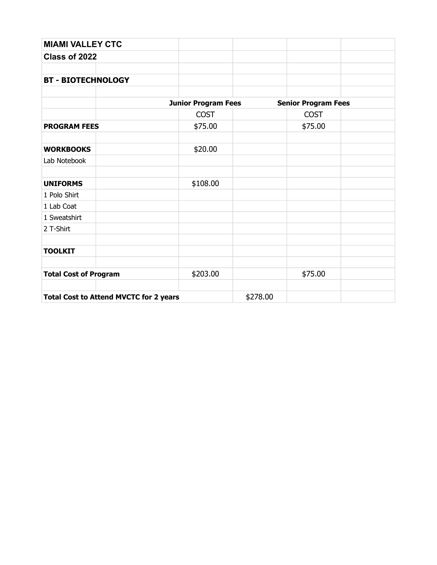| <b>MIAMI VALLEY CTC</b>                       |                            |          |                            |  |
|-----------------------------------------------|----------------------------|----------|----------------------------|--|
| Class of 2022                                 |                            |          |                            |  |
|                                               |                            |          |                            |  |
| <b>BT - BIOTECHNOLOGY</b>                     |                            |          |                            |  |
|                                               | <b>Junior Program Fees</b> |          | <b>Senior Program Fees</b> |  |
|                                               | <b>COST</b>                |          | <b>COST</b>                |  |
| <b>PROGRAM FEES</b>                           | \$75.00                    |          | \$75.00                    |  |
| <b>WORKBOOKS</b>                              | \$20.00                    |          |                            |  |
| Lab Notebook                                  |                            |          |                            |  |
| <b>UNIFORMS</b>                               | \$108.00                   |          |                            |  |
| 1 Polo Shirt                                  |                            |          |                            |  |
| 1 Lab Coat                                    |                            |          |                            |  |
| 1 Sweatshirt                                  |                            |          |                            |  |
| 2 T-Shirt                                     |                            |          |                            |  |
| <b>TOOLKIT</b>                                |                            |          |                            |  |
| <b>Total Cost of Program</b>                  | \$203.00                   |          | \$75.00                    |  |
| <b>Total Cost to Attend MVCTC for 2 years</b> |                            | \$278.00 |                            |  |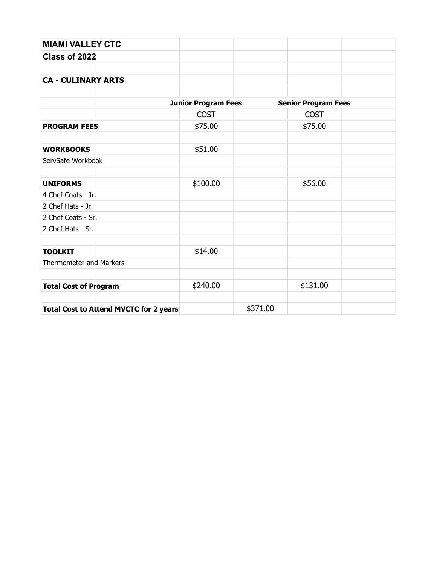| <b>MIAMI VALLEY CTC</b>                       |                            |          |                            |  |
|-----------------------------------------------|----------------------------|----------|----------------------------|--|
| Class of 2022                                 |                            |          |                            |  |
| <b>CA - CULINARY ARTS</b>                     |                            |          |                            |  |
|                                               | <b>Junior Program Fees</b> |          | <b>Senior Program Fees</b> |  |
|                                               | <b>COST</b>                |          | <b>COST</b>                |  |
| <b>PROGRAM FEES</b>                           | \$75.00                    |          | \$75.00                    |  |
| <b>WORKBOOKS</b>                              | \$51.00                    |          |                            |  |
| ServSafe Workbook                             |                            |          |                            |  |
| <b>UNIFORMS</b>                               | \$100.00                   |          | \$56.00                    |  |
| 4 Chef Coats - Jr.                            |                            |          |                            |  |
| 2 Chef Hats - Jr.                             |                            |          |                            |  |
| 2 Chef Coats - Sr.                            |                            |          |                            |  |
| 2 Chef Hats - Sr.                             |                            |          |                            |  |
| <b>TOOLKIT</b>                                | \$14.00                    |          |                            |  |
| <b>Thermometer and Markers</b>                |                            |          |                            |  |
| <b>Total Cost of Program</b>                  | \$240.00                   |          | \$131.00                   |  |
| <b>Total Cost to Attend MVCTC for 2 years</b> |                            | \$371.00 |                            |  |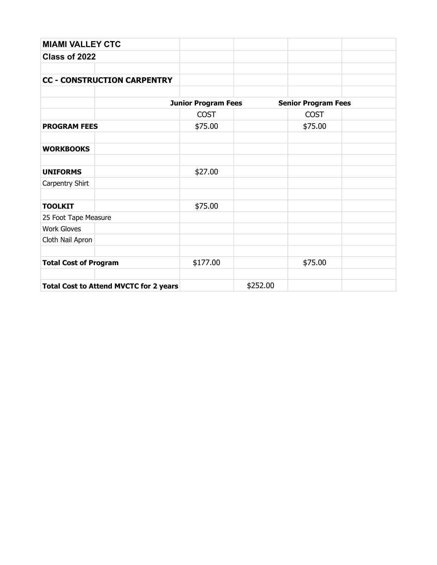| <b>MIAMI VALLEY CTC</b>                       |                            |          |                            |  |
|-----------------------------------------------|----------------------------|----------|----------------------------|--|
| Class of 2022                                 |                            |          |                            |  |
|                                               |                            |          |                            |  |
| <b>CC - CONSTRUCTION CARPENTRY</b>            |                            |          |                            |  |
|                                               |                            |          |                            |  |
|                                               | <b>Junior Program Fees</b> |          | <b>Senior Program Fees</b> |  |
|                                               | <b>COST</b>                |          | <b>COST</b>                |  |
| <b>PROGRAM FEES</b>                           | \$75.00                    |          | \$75.00                    |  |
|                                               |                            |          |                            |  |
| <b>WORKBOOKS</b>                              |                            |          |                            |  |
|                                               |                            |          |                            |  |
| <b>UNIFORMS</b>                               | \$27.00                    |          |                            |  |
| Carpentry Shirt                               |                            |          |                            |  |
|                                               |                            |          |                            |  |
| <b>TOOLKIT</b>                                | \$75.00                    |          |                            |  |
| 25 Foot Tape Measure                          |                            |          |                            |  |
| <b>Work Gloves</b>                            |                            |          |                            |  |
| Cloth Nail Apron                              |                            |          |                            |  |
|                                               |                            |          |                            |  |
| <b>Total Cost of Program</b>                  | \$177.00                   |          | \$75.00                    |  |
| <b>Total Cost to Attend MVCTC for 2 years</b> |                            | \$252.00 |                            |  |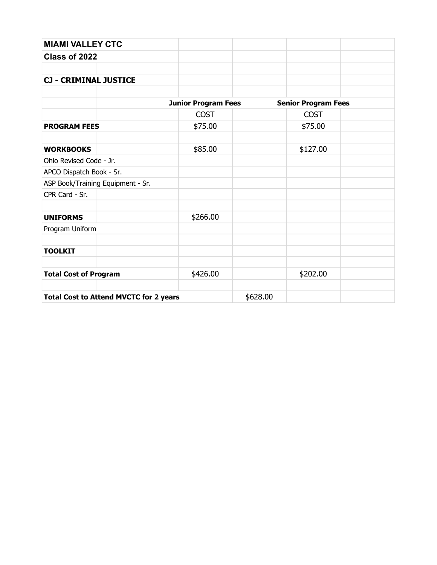| <b>MIAMI VALLEY CTC</b>                       |                            |          |                            |  |
|-----------------------------------------------|----------------------------|----------|----------------------------|--|
| Class of 2022                                 |                            |          |                            |  |
| <b>CJ - CRIMINAL JUSTICE</b>                  |                            |          |                            |  |
|                                               | <b>Junior Program Fees</b> |          | <b>Senior Program Fees</b> |  |
|                                               | <b>COST</b>                |          | <b>COST</b>                |  |
| <b>PROGRAM FEES</b>                           | \$75.00                    |          | \$75.00                    |  |
| <b>WORKBOOKS</b>                              | \$85.00                    |          | \$127.00                   |  |
| Ohio Revised Code - Jr.                       |                            |          |                            |  |
| APCO Dispatch Book - Sr.                      |                            |          |                            |  |
| ASP Book/Training Equipment - Sr.             |                            |          |                            |  |
| CPR Card - Sr.                                |                            |          |                            |  |
| <b>UNIFORMS</b>                               | \$266.00                   |          |                            |  |
| Program Uniform                               |                            |          |                            |  |
| <b>TOOLKIT</b>                                |                            |          |                            |  |
| <b>Total Cost of Program</b>                  | \$426.00                   |          | \$202.00                   |  |
| <b>Total Cost to Attend MVCTC for 2 years</b> |                            | \$628.00 |                            |  |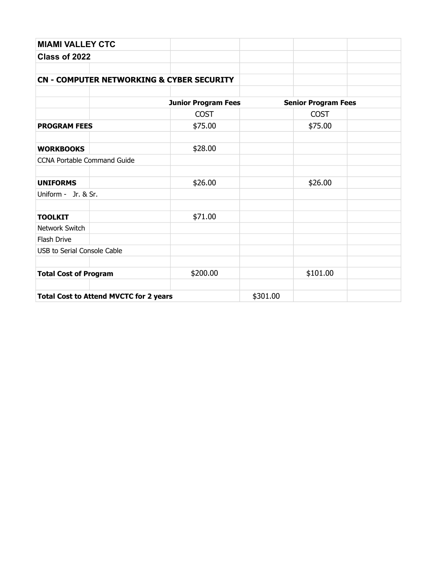| <b>MIAMI VALLEY CTC</b>                       |                                                      |          |                            |  |
|-----------------------------------------------|------------------------------------------------------|----------|----------------------------|--|
| Class of 2022                                 |                                                      |          |                            |  |
|                                               |                                                      |          |                            |  |
|                                               | <b>CN - COMPUTER NETWORKING &amp; CYBER SECURITY</b> |          |                            |  |
|                                               |                                                      |          |                            |  |
|                                               | <b>Junior Program Fees</b>                           |          | <b>Senior Program Fees</b> |  |
|                                               | <b>COST</b>                                          |          | <b>COST</b>                |  |
| <b>PROGRAM FEES</b>                           | \$75.00                                              |          | \$75.00                    |  |
| <b>WORKBOOKS</b>                              | \$28.00                                              |          |                            |  |
| <b>CCNA Portable Command Guide</b>            |                                                      |          |                            |  |
| <b>UNIFORMS</b>                               | \$26.00                                              |          | \$26.00                    |  |
| Uniform - Jr. & Sr.                           |                                                      |          |                            |  |
| <b>TOOLKIT</b>                                | \$71.00                                              |          |                            |  |
| Network Switch                                |                                                      |          |                            |  |
| Flash Drive                                   |                                                      |          |                            |  |
| <b>USB to Serial Console Cable</b>            |                                                      |          |                            |  |
| <b>Total Cost of Program</b>                  | \$200.00                                             |          | \$101.00                   |  |
| <b>Total Cost to Attend MVCTC for 2 years</b> |                                                      | \$301.00 |                            |  |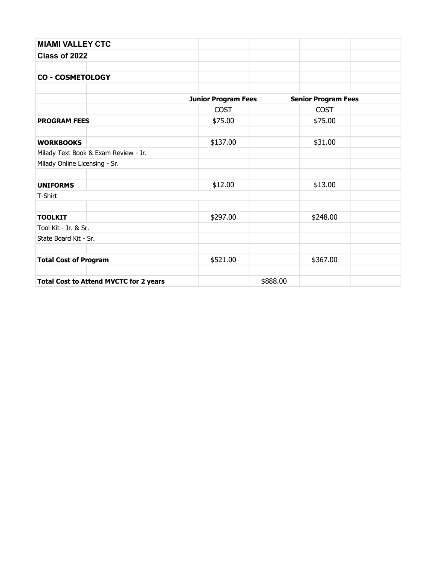| <b>MIAMI VALLEY CTC</b>                       |                            |                            |  |
|-----------------------------------------------|----------------------------|----------------------------|--|
| Class of 2022                                 |                            |                            |  |
|                                               |                            |                            |  |
| <b>CO - COSMETOLOGY</b>                       |                            |                            |  |
|                                               |                            |                            |  |
|                                               | <b>Junior Program Fees</b> | <b>Senior Program Fees</b> |  |
|                                               | <b>COST</b>                | <b>COST</b>                |  |
| <b>PROGRAM FEES</b>                           | \$75.00                    | \$75.00                    |  |
|                                               |                            |                            |  |
| <b>WORKBOOKS</b>                              | \$137.00                   | \$31.00                    |  |
| Milady Text Book & Exam Review - Jr.          |                            |                            |  |
| Milady Online Licensing - Sr.                 |                            |                            |  |
|                                               |                            |                            |  |
| <b>UNIFORMS</b>                               | \$12.00                    | \$13.00                    |  |
| T-Shirt                                       |                            |                            |  |
|                                               |                            |                            |  |
| <b>TOOLKIT</b>                                | \$297.00                   | \$248.00                   |  |
| Tool Kit - Jr. & Sr.                          |                            |                            |  |
| State Board Kit - Sr.                         |                            |                            |  |
|                                               |                            |                            |  |
| <b>Total Cost of Program</b>                  | \$521.00                   | \$367.00                   |  |
| <b>Total Cost to Attend MVCTC for 2 years</b> |                            | \$888.00                   |  |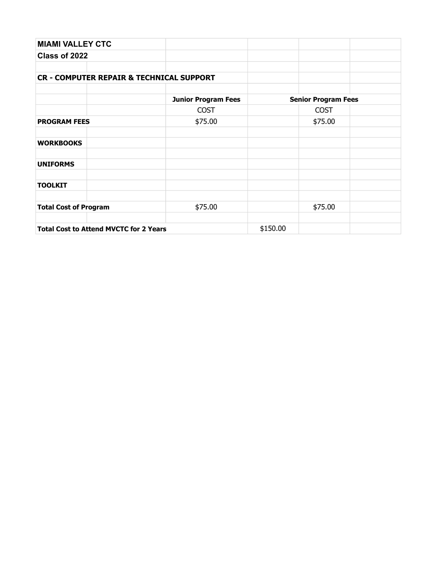| <b>MIAMI VALLEY CTC</b>                             |                            |          |                            |  |
|-----------------------------------------------------|----------------------------|----------|----------------------------|--|
| Class of 2022                                       |                            |          |                            |  |
|                                                     |                            |          |                            |  |
| <b>CR - COMPUTER REPAIR &amp; TECHNICAL SUPPORT</b> |                            |          |                            |  |
|                                                     |                            |          |                            |  |
|                                                     | <b>Junior Program Fees</b> |          | <b>Senior Program Fees</b> |  |
|                                                     | <b>COST</b>                |          | <b>COST</b>                |  |
| <b>PROGRAM FEES</b>                                 | \$75.00                    |          | \$75.00                    |  |
|                                                     |                            |          |                            |  |
| <b>WORKBOOKS</b>                                    |                            |          |                            |  |
| <b>UNIFORMS</b>                                     |                            |          |                            |  |
|                                                     |                            |          |                            |  |
| <b>TOOLKIT</b>                                      |                            |          |                            |  |
|                                                     |                            |          |                            |  |
| <b>Total Cost of Program</b>                        | \$75.00                    |          | \$75.00                    |  |
|                                                     |                            |          |                            |  |
| <b>Total Cost to Attend MVCTC for 2 Years</b>       |                            | \$150.00 |                            |  |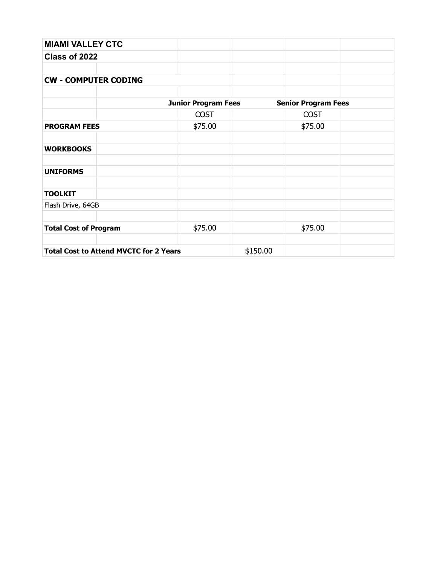| <b>MIAMI VALLEY CTC</b>                       |                            |          |                            |  |
|-----------------------------------------------|----------------------------|----------|----------------------------|--|
| Class of 2022                                 |                            |          |                            |  |
|                                               |                            |          |                            |  |
| <b>CW - COMPUTER CODING</b>                   |                            |          |                            |  |
|                                               |                            |          |                            |  |
|                                               | <b>Junior Program Fees</b> |          | <b>Senior Program Fees</b> |  |
|                                               | <b>COST</b>                |          | <b>COST</b>                |  |
| <b>PROGRAM FEES</b>                           | \$75.00                    |          | \$75.00                    |  |
| <b>WORKBOOKS</b>                              |                            |          |                            |  |
| <b>UNIFORMS</b>                               |                            |          |                            |  |
| <b>TOOLKIT</b>                                |                            |          |                            |  |
| Flash Drive, 64GB                             |                            |          |                            |  |
| <b>Total Cost of Program</b>                  | \$75.00                    |          | \$75.00                    |  |
| <b>Total Cost to Attend MVCTC for 2 Years</b> |                            | \$150.00 |                            |  |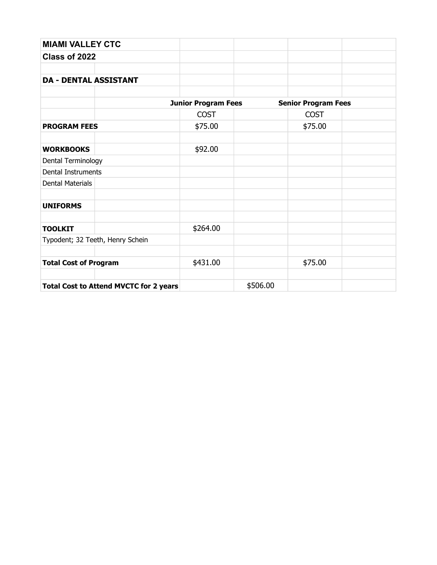| <b>MIAMI VALLEY CTC</b>                       |                            |          |                            |  |
|-----------------------------------------------|----------------------------|----------|----------------------------|--|
| Class of 2022                                 |                            |          |                            |  |
|                                               |                            |          |                            |  |
| <b>DA - DENTAL ASSISTANT</b>                  |                            |          |                            |  |
|                                               |                            |          |                            |  |
|                                               | <b>Junior Program Fees</b> |          | <b>Senior Program Fees</b> |  |
|                                               | <b>COST</b>                |          | <b>COST</b>                |  |
| <b>PROGRAM FEES</b>                           | \$75.00                    |          | \$75.00                    |  |
|                                               |                            |          |                            |  |
| <b>WORKBOOKS</b>                              | \$92.00                    |          |                            |  |
| Dental Terminology                            |                            |          |                            |  |
| <b>Dental Instruments</b>                     |                            |          |                            |  |
| <b>Dental Materials</b>                       |                            |          |                            |  |
|                                               |                            |          |                            |  |
| <b>UNIFORMS</b>                               |                            |          |                            |  |
|                                               |                            |          |                            |  |
| <b>TOOLKIT</b>                                | \$264.00                   |          |                            |  |
| Typodent; 32 Teeth, Henry Schein              |                            |          |                            |  |
|                                               |                            |          |                            |  |
| <b>Total Cost of Program</b>                  | \$431.00                   |          | \$75.00                    |  |
|                                               |                            |          |                            |  |
| <b>Total Cost to Attend MVCTC for 2 years</b> |                            | \$506.00 |                            |  |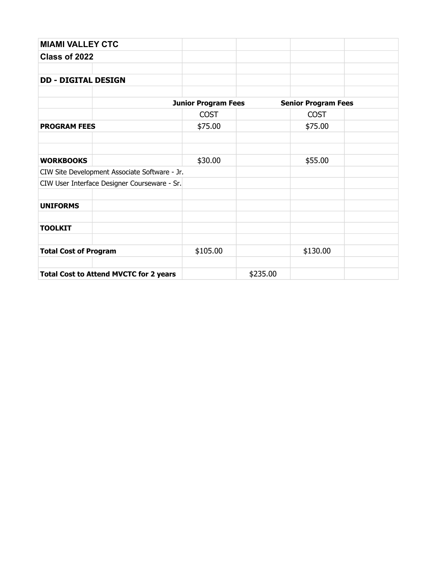| <b>MIAMI VALLEY CTC</b>      |                                               |                            |          |                            |  |
|------------------------------|-----------------------------------------------|----------------------------|----------|----------------------------|--|
| Class of 2022                |                                               |                            |          |                            |  |
|                              |                                               |                            |          |                            |  |
| <b>DD - DIGITAL DESIGN</b>   |                                               |                            |          |                            |  |
|                              |                                               |                            |          |                            |  |
|                              |                                               | <b>Junior Program Fees</b> |          | <b>Senior Program Fees</b> |  |
|                              |                                               | <b>COST</b>                |          | <b>COST</b>                |  |
| <b>PROGRAM FEES</b>          |                                               | \$75.00                    |          | \$75.00                    |  |
|                              |                                               |                            |          |                            |  |
|                              |                                               |                            |          |                            |  |
| <b>WORKBOOKS</b>             |                                               | \$30.00                    |          | \$55.00                    |  |
|                              | CIW Site Development Associate Software - Jr. |                            |          |                            |  |
|                              | CIW User Interface Designer Courseware - Sr.  |                            |          |                            |  |
|                              |                                               |                            |          |                            |  |
| <b>UNIFORMS</b>              |                                               |                            |          |                            |  |
|                              |                                               |                            |          |                            |  |
| <b>TOOLKIT</b>               |                                               |                            |          |                            |  |
|                              |                                               |                            |          |                            |  |
| <b>Total Cost of Program</b> |                                               | \$105.00                   |          | \$130.00                   |  |
|                              |                                               |                            |          |                            |  |
|                              | <b>Total Cost to Attend MVCTC for 2 years</b> |                            | \$235.00 |                            |  |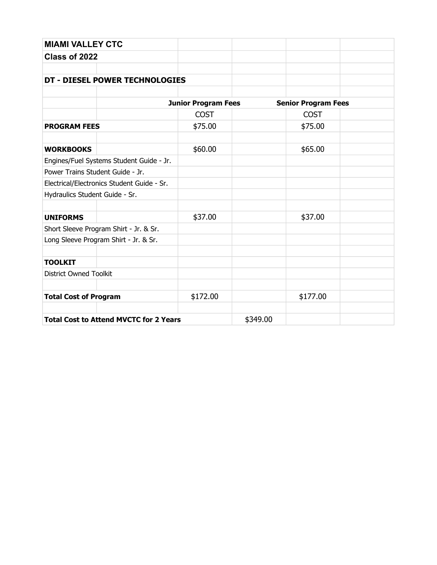| <b>MIAMI VALLEY CTC</b>                       |                            |          |                            |  |
|-----------------------------------------------|----------------------------|----------|----------------------------|--|
| Class of 2022                                 |                            |          |                            |  |
|                                               |                            |          |                            |  |
| DT - DIESEL POWER TECHNOLOGIES                |                            |          |                            |  |
|                                               |                            |          |                            |  |
|                                               | <b>Junior Program Fees</b> |          | <b>Senior Program Fees</b> |  |
|                                               | <b>COST</b>                |          | <b>COST</b>                |  |
| <b>PROGRAM FEES</b>                           | \$75.00                    |          | \$75.00                    |  |
| <b>WORKBOOKS</b>                              | \$60.00                    |          | \$65.00                    |  |
| Engines/Fuel Systems Student Guide - Jr.      |                            |          |                            |  |
| Power Trains Student Guide - Jr.              |                            |          |                            |  |
| Electrical/Electronics Student Guide - Sr.    |                            |          |                            |  |
| Hydraulics Student Guide - Sr.                |                            |          |                            |  |
|                                               |                            |          |                            |  |
| <b>UNIFORMS</b>                               | \$37.00                    |          | \$37.00                    |  |
| Short Sleeve Program Shirt - Jr. & Sr.        |                            |          |                            |  |
| Long Sleeve Program Shirt - Jr. & Sr.         |                            |          |                            |  |
| <b>TOOLKIT</b>                                |                            |          |                            |  |
| <b>District Owned Toolkit</b>                 |                            |          |                            |  |
|                                               |                            |          |                            |  |
| <b>Total Cost of Program</b>                  | \$172.00                   |          | \$177.00                   |  |
|                                               |                            |          |                            |  |
| <b>Total Cost to Attend MVCTC for 2 Years</b> |                            | \$349.00 |                            |  |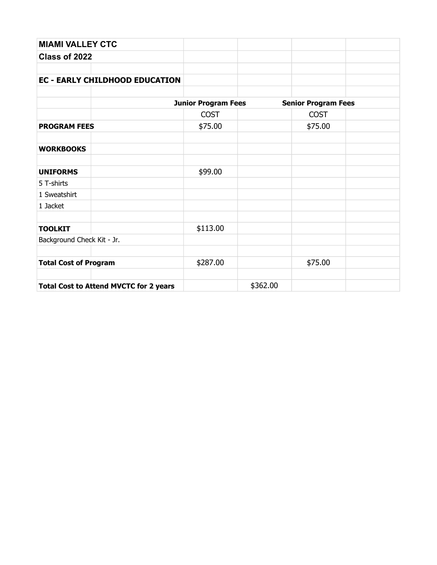| <b>MIAMI VALLEY CTC</b>                       |                            |          |                            |  |
|-----------------------------------------------|----------------------------|----------|----------------------------|--|
| Class of 2022                                 |                            |          |                            |  |
|                                               |                            |          |                            |  |
| <b>EC - EARLY CHILDHOOD EDUCATION</b>         |                            |          |                            |  |
|                                               | <b>Junior Program Fees</b> |          | <b>Senior Program Fees</b> |  |
|                                               | <b>COST</b>                |          | <b>COST</b>                |  |
| <b>PROGRAM FEES</b>                           | \$75.00                    |          | \$75.00                    |  |
| <b>WORKBOOKS</b>                              |                            |          |                            |  |
| <b>UNIFORMS</b>                               | \$99.00                    |          |                            |  |
| 5 T-shirts                                    |                            |          |                            |  |
| 1 Sweatshirt                                  |                            |          |                            |  |
| 1 Jacket                                      |                            |          |                            |  |
| <b>TOOLKIT</b>                                | \$113.00                   |          |                            |  |
| Background Check Kit - Jr.                    |                            |          |                            |  |
| <b>Total Cost of Program</b>                  | \$287.00                   |          | \$75.00                    |  |
| <b>Total Cost to Attend MVCTC for 2 years</b> |                            | \$362.00 |                            |  |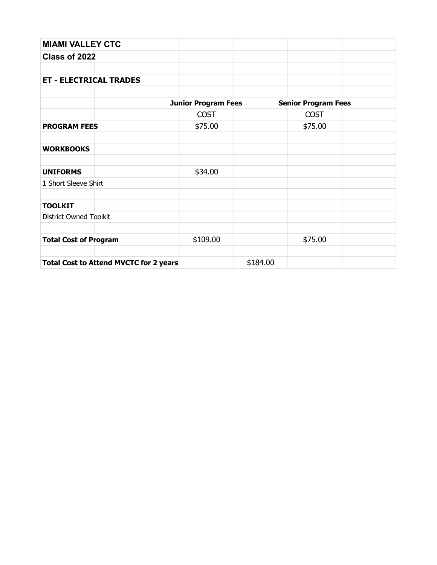| <b>MIAMI VALLEY CTC</b>                       |                            |          |                            |  |  |
|-----------------------------------------------|----------------------------|----------|----------------------------|--|--|
| Class of 2022                                 |                            |          |                            |  |  |
|                                               |                            |          |                            |  |  |
| <b>ET - ELECTRICAL TRADES</b>                 |                            |          |                            |  |  |
|                                               |                            |          |                            |  |  |
|                                               | <b>Junior Program Fees</b> |          | <b>Senior Program Fees</b> |  |  |
|                                               | <b>COST</b>                |          | <b>COST</b>                |  |  |
| <b>PROGRAM FEES</b>                           | \$75.00                    |          | \$75.00                    |  |  |
| <b>WORKBOOKS</b>                              |                            |          |                            |  |  |
| <b>UNIFORMS</b>                               | \$34.00                    |          |                            |  |  |
| 1 Short Sleeve Shirt                          |                            |          |                            |  |  |
| <b>TOOLKIT</b>                                |                            |          |                            |  |  |
| <b>District Owned Toolkit</b>                 |                            |          |                            |  |  |
| <b>Total Cost of Program</b>                  | \$109.00                   |          | \$75.00                    |  |  |
| <b>Total Cost to Attend MVCTC for 2 years</b> |                            | \$184.00 |                            |  |  |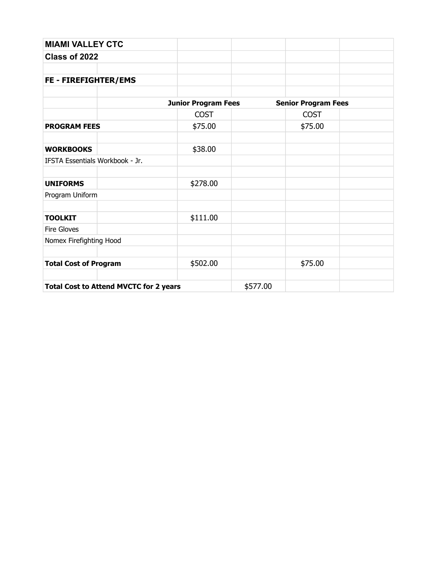| <b>MIAMI VALLEY CTC</b>                       |                            |          |                            |
|-----------------------------------------------|----------------------------|----------|----------------------------|
| Class of 2022                                 |                            |          |                            |
|                                               |                            |          |                            |
| FE - FIREFIGHTER/EMS                          |                            |          |                            |
|                                               | <b>Junior Program Fees</b> |          | <b>Senior Program Fees</b> |
|                                               | <b>COST</b>                |          | <b>COST</b>                |
| <b>PROGRAM FEES</b>                           | \$75.00                    |          | \$75.00                    |
|                                               |                            |          |                            |
| <b>WORKBOOKS</b>                              | \$38.00                    |          |                            |
| IFSTA Essentials Workbook - Jr.               |                            |          |                            |
| <b>UNIFORMS</b>                               | \$278.00                   |          |                            |
| Program Uniform                               |                            |          |                            |
| <b>TOOLKIT</b>                                | \$111.00                   |          |                            |
| Fire Gloves                                   |                            |          |                            |
| Nomex Firefighting Hood                       |                            |          |                            |
| <b>Total Cost of Program</b>                  | \$502.00                   |          | \$75.00                    |
| <b>Total Cost to Attend MVCTC for 2 years</b> |                            | \$577.00 |                            |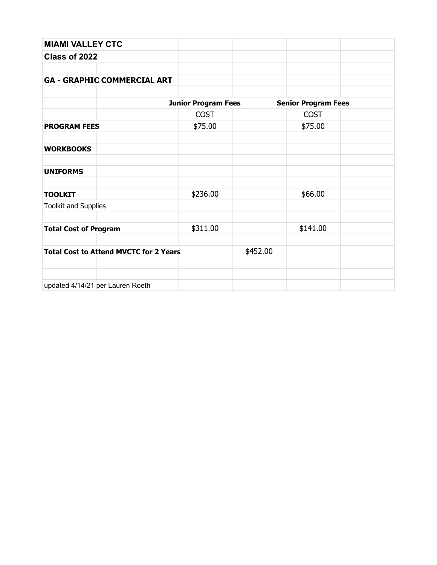| <b>MIAMI VALLEY CTC</b>                       |                            |          |                            |  |
|-----------------------------------------------|----------------------------|----------|----------------------------|--|
| Class of 2022                                 |                            |          |                            |  |
|                                               |                            |          |                            |  |
| <b>GA - GRAPHIC COMMERCIAL ART</b>            |                            |          |                            |  |
|                                               |                            |          |                            |  |
|                                               | <b>Junior Program Fees</b> |          | <b>Senior Program Fees</b> |  |
|                                               | <b>COST</b>                |          | <b>COST</b>                |  |
| <b>PROGRAM FEES</b>                           | \$75.00                    |          | \$75.00                    |  |
|                                               |                            |          |                            |  |
| <b>WORKBOOKS</b>                              |                            |          |                            |  |
|                                               |                            |          |                            |  |
| <b>UNIFORMS</b>                               |                            |          |                            |  |
|                                               |                            |          |                            |  |
| <b>TOOLKIT</b>                                | \$236.00                   |          | \$66.00                    |  |
| <b>Toolkit and Supplies</b>                   |                            |          |                            |  |
|                                               |                            |          |                            |  |
| <b>Total Cost of Program</b>                  | \$311.00                   |          | \$141.00                   |  |
|                                               |                            |          |                            |  |
| <b>Total Cost to Attend MVCTC for 2 Years</b> |                            | \$452.00 |                            |  |
|                                               |                            |          |                            |  |
|                                               |                            |          |                            |  |
| updated 4/14/21 per Lauren Roeth              |                            |          |                            |  |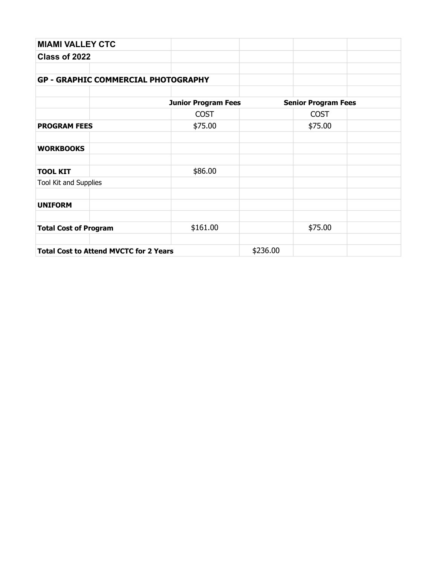| <b>MIAMI VALLEY CTC</b>                       |                            |          |                            |  |
|-----------------------------------------------|----------------------------|----------|----------------------------|--|
| Class of 2022                                 |                            |          |                            |  |
|                                               |                            |          |                            |  |
| <b>GP - GRAPHIC COMMERCIAL PHOTOGRAPHY</b>    |                            |          |                            |  |
|                                               |                            |          |                            |  |
|                                               | <b>Junior Program Fees</b> |          | <b>Senior Program Fees</b> |  |
|                                               | <b>COST</b>                |          | <b>COST</b>                |  |
| <b>PROGRAM FEES</b>                           | \$75.00                    |          | \$75.00                    |  |
|                                               |                            |          |                            |  |
| <b>WORKBOOKS</b>                              |                            |          |                            |  |
| <b>TOOL KIT</b>                               | \$86.00                    |          |                            |  |
| Tool Kit and Supplies                         |                            |          |                            |  |
| <b>UNIFORM</b>                                |                            |          |                            |  |
|                                               |                            |          |                            |  |
| <b>Total Cost of Program</b>                  | \$161.00                   |          | \$75.00                    |  |
|                                               |                            |          |                            |  |
| <b>Total Cost to Attend MVCTC for 2 Years</b> |                            | \$236.00 |                            |  |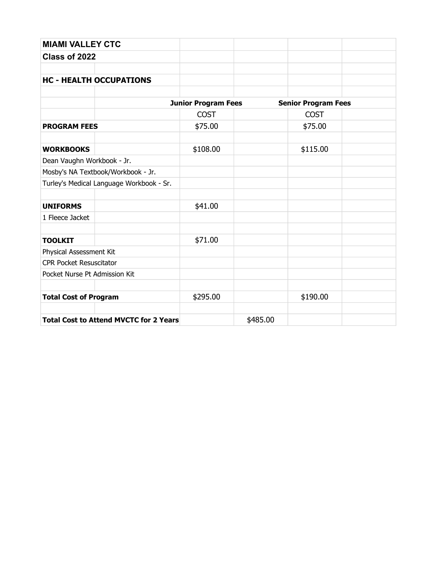| <b>MIAMI VALLEY CTC</b>                       |                            |          |                            |  |
|-----------------------------------------------|----------------------------|----------|----------------------------|--|
| Class of 2022                                 |                            |          |                            |  |
|                                               |                            |          |                            |  |
| <b>HC - HEALTH OCCUPATIONS</b>                |                            |          |                            |  |
|                                               |                            |          |                            |  |
|                                               | <b>Junior Program Fees</b> |          | <b>Senior Program Fees</b> |  |
|                                               | <b>COST</b>                |          | <b>COST</b>                |  |
| <b>PROGRAM FEES</b>                           | \$75.00                    |          | \$75.00                    |  |
| <b>WORKBOOKS</b>                              | \$108.00                   |          | \$115.00                   |  |
| Dean Vaughn Workbook - Jr.                    |                            |          |                            |  |
| Mosby's NA Textbook/Workbook - Jr.            |                            |          |                            |  |
| Turley's Medical Language Workbook - Sr.      |                            |          |                            |  |
|                                               |                            |          |                            |  |
| <b>UNIFORMS</b>                               | \$41.00                    |          |                            |  |
| 1 Fleece Jacket                               |                            |          |                            |  |
|                                               |                            |          |                            |  |
| <b>TOOLKIT</b>                                | \$71.00                    |          |                            |  |
| Physical Assessment Kit                       |                            |          |                            |  |
| <b>CPR Pocket Resuscitator</b>                |                            |          |                            |  |
| Pocket Nurse Pt Admission Kit                 |                            |          |                            |  |
| <b>Total Cost of Program</b>                  | \$295.00                   |          | \$190.00                   |  |
| <b>Total Cost to Attend MVCTC for 2 Years</b> |                            | \$485.00 |                            |  |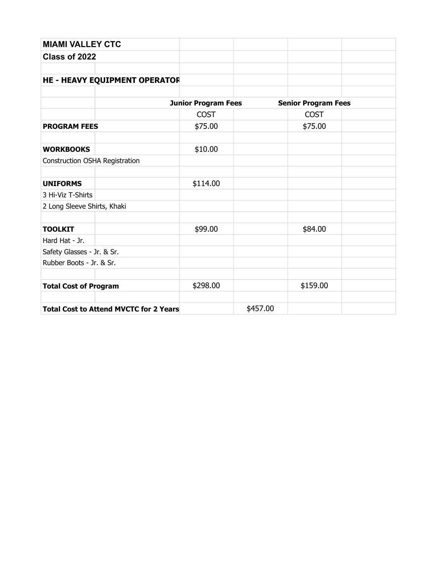| <b>MIAMI VALLEY CTC</b>                       |                            |          |                            |  |
|-----------------------------------------------|----------------------------|----------|----------------------------|--|
| Class of 2022                                 |                            |          |                            |  |
|                                               |                            |          |                            |  |
| <b>HE - HEAVY EQUIPMENT OPERATOR</b>          |                            |          |                            |  |
|                                               |                            |          |                            |  |
|                                               | <b>Junior Program Fees</b> |          | <b>Senior Program Fees</b> |  |
|                                               | <b>COST</b>                |          | <b>COST</b>                |  |
| <b>PROGRAM FEES</b>                           | \$75.00                    |          | \$75.00                    |  |
|                                               |                            |          |                            |  |
| <b>WORKBOOKS</b>                              | \$10.00                    |          |                            |  |
| Construction OSHA Registration                |                            |          |                            |  |
|                                               |                            |          |                            |  |
| <b>UNIFORMS</b>                               | \$114.00                   |          |                            |  |
| 3 Hi-Viz T-Shirts                             |                            |          |                            |  |
| 2 Long Sleeve Shirts, Khaki                   |                            |          |                            |  |
|                                               |                            |          |                            |  |
| <b>TOOLKIT</b>                                | \$99.00                    |          | \$84.00                    |  |
| Hard Hat - Jr.                                |                            |          |                            |  |
| Safety Glasses - Jr. & Sr.                    |                            |          |                            |  |
| Rubber Boots - Jr. & Sr.                      |                            |          |                            |  |
|                                               |                            |          |                            |  |
| <b>Total Cost of Program</b>                  | \$298.00                   |          | \$159.00                   |  |
|                                               |                            |          |                            |  |
| <b>Total Cost to Attend MVCTC for 2 Years</b> |                            | \$457.00 |                            |  |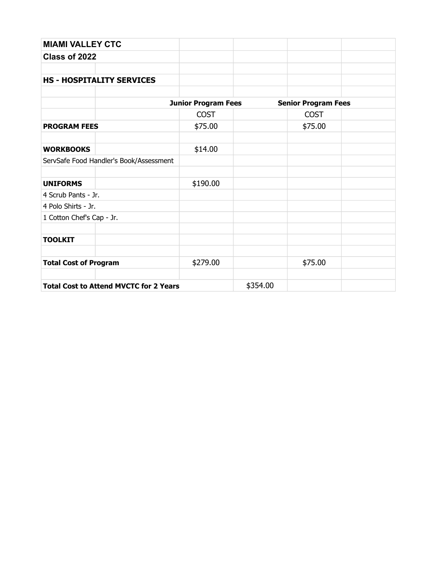| <b>MIAMI VALLEY CTC</b>                       |                            |          |                            |  |
|-----------------------------------------------|----------------------------|----------|----------------------------|--|
| Class of 2022                                 |                            |          |                            |  |
|                                               |                            |          |                            |  |
| <b>HS - HOSPITALITY SERVICES</b>              |                            |          |                            |  |
|                                               |                            |          |                            |  |
|                                               | <b>Junior Program Fees</b> |          | <b>Senior Program Fees</b> |  |
|                                               | <b>COST</b>                |          | <b>COST</b>                |  |
| <b>PROGRAM FEES</b>                           | \$75.00                    |          | \$75.00                    |  |
|                                               |                            |          |                            |  |
| <b>WORKBOOKS</b>                              | \$14.00                    |          |                            |  |
| ServSafe Food Handler's Book/Assessment       |                            |          |                            |  |
|                                               |                            |          |                            |  |
| <b>UNIFORMS</b>                               | \$190.00                   |          |                            |  |
| 4 Scrub Pants - Jr.                           |                            |          |                            |  |
| 4 Polo Shirts - Jr.                           |                            |          |                            |  |
| 1 Cotton Chef's Cap - Jr.                     |                            |          |                            |  |
|                                               |                            |          |                            |  |
| <b>TOOLKIT</b>                                |                            |          |                            |  |
|                                               |                            |          |                            |  |
| <b>Total Cost of Program</b>                  | \$279.00                   |          | \$75.00                    |  |
|                                               |                            |          |                            |  |
| <b>Total Cost to Attend MVCTC for 2 Years</b> |                            | \$354.00 |                            |  |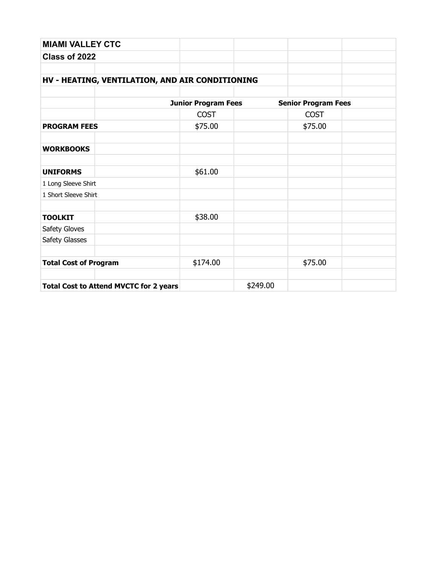| <b>MIAMI VALLEY CTC</b>                         |                            |          |                            |  |
|-------------------------------------------------|----------------------------|----------|----------------------------|--|
| Class of 2022                                   |                            |          |                            |  |
|                                                 |                            |          |                            |  |
| HV - HEATING, VENTILATION, AND AIR CONDITIONING |                            |          |                            |  |
|                                                 |                            |          |                            |  |
|                                                 | <b>Junior Program Fees</b> |          | <b>Senior Program Fees</b> |  |
|                                                 | <b>COST</b>                |          | <b>COST</b>                |  |
| <b>PROGRAM FEES</b>                             | \$75.00                    |          | \$75.00                    |  |
|                                                 |                            |          |                            |  |
| <b>WORKBOOKS</b>                                |                            |          |                            |  |
|                                                 |                            |          |                            |  |
| <b>UNIFORMS</b>                                 | \$61.00                    |          |                            |  |
| 1 Long Sleeve Shirt                             |                            |          |                            |  |
| 1 Short Sleeve Shirt                            |                            |          |                            |  |
|                                                 |                            |          |                            |  |
| <b>TOOLKIT</b>                                  | \$38.00                    |          |                            |  |
| Safety Gloves                                   |                            |          |                            |  |
| Safety Glasses                                  |                            |          |                            |  |
|                                                 |                            |          |                            |  |
| <b>Total Cost of Program</b>                    | \$174.00                   |          | \$75.00                    |  |
|                                                 |                            |          |                            |  |
| <b>Total Cost to Attend MVCTC for 2 years</b>   |                            | \$249.00 |                            |  |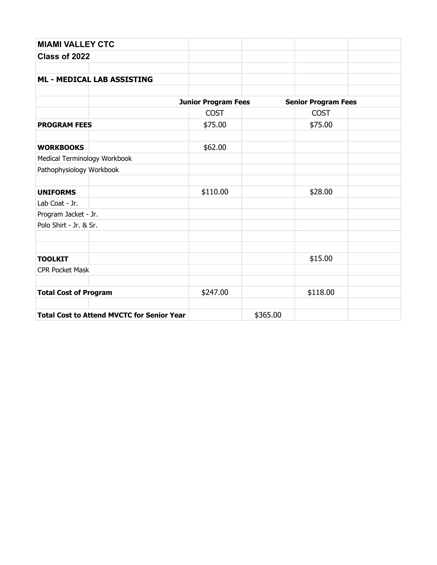| <b>MIAMI VALLEY CTC</b>                           |                            |                            |  |
|---------------------------------------------------|----------------------------|----------------------------|--|
| Class of 2022                                     |                            |                            |  |
|                                                   |                            |                            |  |
| <b>ML - MEDICAL LAB ASSISTING</b>                 |                            |                            |  |
|                                                   |                            |                            |  |
|                                                   | <b>Junior Program Fees</b> | <b>Senior Program Fees</b> |  |
|                                                   | <b>COST</b>                | <b>COST</b>                |  |
| <b>PROGRAM FEES</b>                               | \$75.00                    | \$75.00                    |  |
| <b>WORKBOOKS</b>                                  | \$62.00                    |                            |  |
| Medical Terminology Workbook                      |                            |                            |  |
| Pathophysiology Workbook                          |                            |                            |  |
| <b>UNIFORMS</b>                                   | \$110.00                   | \$28.00                    |  |
| Lab Coat - Jr.                                    |                            |                            |  |
| Program Jacket - Jr.                              |                            |                            |  |
| Polo Shirt - Jr. & Sr.                            |                            |                            |  |
|                                                   |                            |                            |  |
| <b>TOOLKIT</b>                                    |                            | \$15.00                    |  |
| <b>CPR Pocket Mask</b>                            |                            |                            |  |
| <b>Total Cost of Program</b>                      | \$247.00                   | \$118.00                   |  |
|                                                   |                            |                            |  |
| <b>Total Cost to Attend MVCTC for Senior Year</b> |                            | \$365.00                   |  |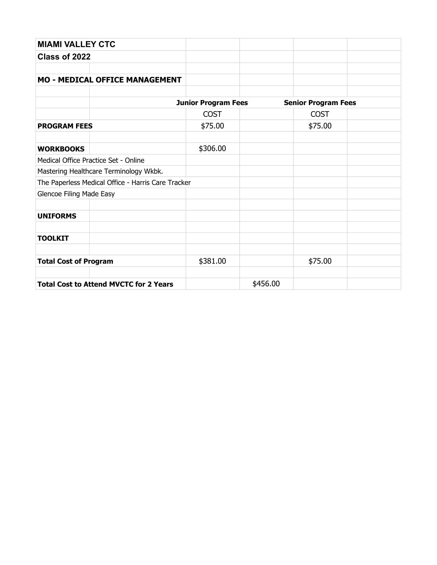| <b>MIAMI VALLEY CTC</b>         |                                                    |                            |          |                            |  |
|---------------------------------|----------------------------------------------------|----------------------------|----------|----------------------------|--|
| Class of 2022                   |                                                    |                            |          |                            |  |
|                                 |                                                    |                            |          |                            |  |
|                                 | <b>MO - MEDICAL OFFICE MANAGEMENT</b>              |                            |          |                            |  |
|                                 |                                                    |                            |          |                            |  |
|                                 |                                                    | <b>Junior Program Fees</b> |          | <b>Senior Program Fees</b> |  |
|                                 |                                                    | <b>COST</b>                |          | <b>COST</b>                |  |
| <b>PROGRAM FEES</b>             |                                                    | \$75.00                    |          | \$75.00                    |  |
|                                 |                                                    |                            |          |                            |  |
| <b>WORKBOOKS</b>                |                                                    | \$306.00                   |          |                            |  |
|                                 | Medical Office Practice Set - Online               |                            |          |                            |  |
|                                 | Mastering Healthcare Terminology Wkbk.             |                            |          |                            |  |
|                                 | The Paperless Medical Office - Harris Care Tracker |                            |          |                            |  |
| <b>Glencoe Filing Made Easy</b> |                                                    |                            |          |                            |  |
|                                 |                                                    |                            |          |                            |  |
| <b>UNIFORMS</b>                 |                                                    |                            |          |                            |  |
|                                 |                                                    |                            |          |                            |  |
| <b>TOOLKIT</b>                  |                                                    |                            |          |                            |  |
|                                 |                                                    |                            |          |                            |  |
| <b>Total Cost of Program</b>    |                                                    | \$381.00                   |          | \$75.00                    |  |
|                                 |                                                    |                            |          |                            |  |
|                                 | <b>Total Cost to Attend MVCTC for 2 Years</b>      |                            | \$456.00 |                            |  |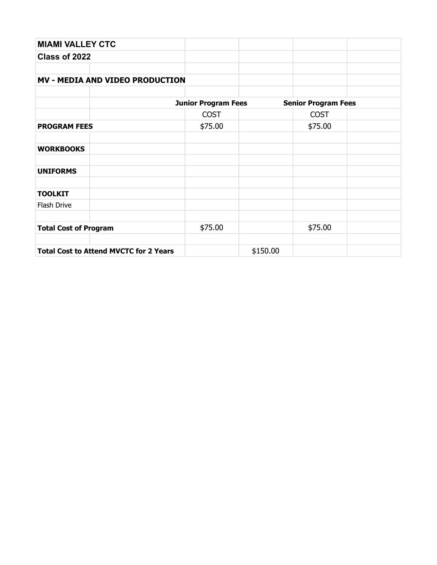| <b>MIAMI VALLEY CTC</b>                       |                            |          |                            |  |
|-----------------------------------------------|----------------------------|----------|----------------------------|--|
| Class of 2022                                 |                            |          |                            |  |
|                                               |                            |          |                            |  |
| <b>MV - MEDIA AND VIDEO PRODUCTION</b>        |                            |          |                            |  |
|                                               |                            |          |                            |  |
|                                               | <b>Junior Program Fees</b> |          | <b>Senior Program Fees</b> |  |
|                                               | <b>COST</b>                |          | <b>COST</b>                |  |
| <b>PROGRAM FEES</b>                           | \$75.00                    |          | \$75.00                    |  |
| <b>WORKBOOKS</b>                              |                            |          |                            |  |
| <b>UNIFORMS</b>                               |                            |          |                            |  |
| <b>TOOLKIT</b>                                |                            |          |                            |  |
| Flash Drive                                   |                            |          |                            |  |
| <b>Total Cost of Program</b>                  | \$75.00                    |          | \$75.00                    |  |
|                                               |                            |          |                            |  |
| <b>Total Cost to Attend MVCTC for 2 Years</b> |                            | \$150.00 |                            |  |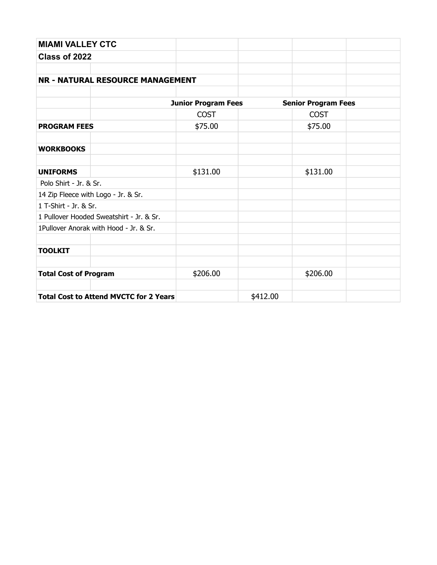| <b>MIAMI VALLEY CTC</b>      |                                               |                            |          |                            |  |
|------------------------------|-----------------------------------------------|----------------------------|----------|----------------------------|--|
| Class of 2022                |                                               |                            |          |                            |  |
|                              |                                               |                            |          |                            |  |
|                              | <b>NR - NATURAL RESOURCE MANAGEMENT</b>       |                            |          |                            |  |
|                              |                                               |                            |          |                            |  |
|                              |                                               | <b>Junior Program Fees</b> |          | <b>Senior Program Fees</b> |  |
|                              |                                               | <b>COST</b>                |          | <b>COST</b>                |  |
| <b>PROGRAM FEES</b>          |                                               | \$75.00                    |          | \$75.00                    |  |
| <b>WORKBOOKS</b>             |                                               |                            |          |                            |  |
| <b>UNIFORMS</b>              |                                               | \$131.00                   |          | \$131.00                   |  |
| Polo Shirt - Jr. & Sr.       |                                               |                            |          |                            |  |
|                              | 14 Zip Fleece with Logo - Jr. & Sr.           |                            |          |                            |  |
| 1 T-Shirt - Jr. & Sr.        |                                               |                            |          |                            |  |
|                              | 1 Pullover Hooded Sweatshirt - Jr. & Sr.      |                            |          |                            |  |
|                              | 1Pullover Anorak with Hood - Jr. & Sr.        |                            |          |                            |  |
| <b>TOOLKIT</b>               |                                               |                            |          |                            |  |
| <b>Total Cost of Program</b> |                                               | \$206.00                   |          | \$206.00                   |  |
|                              | <b>Total Cost to Attend MVCTC for 2 Years</b> |                            | \$412.00 |                            |  |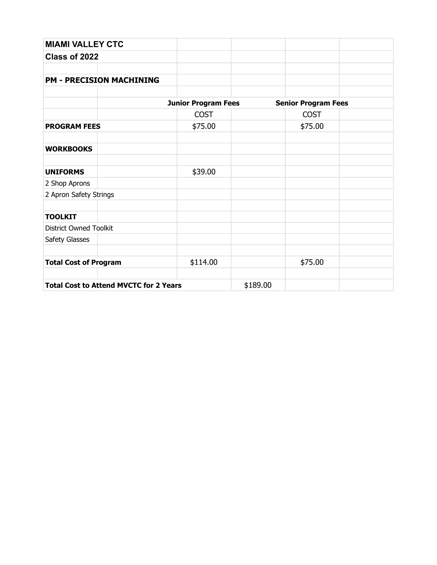| <b>MIAMI VALLEY CTC</b>                       |                            |          |                            |  |
|-----------------------------------------------|----------------------------|----------|----------------------------|--|
| Class of 2022                                 |                            |          |                            |  |
|                                               |                            |          |                            |  |
| <b>PM - PRECISION MACHINING</b>               |                            |          |                            |  |
|                                               |                            |          |                            |  |
|                                               | <b>Junior Program Fees</b> |          | <b>Senior Program Fees</b> |  |
|                                               | <b>COST</b>                |          | <b>COST</b>                |  |
| <b>PROGRAM FEES</b>                           | \$75.00                    |          | \$75.00                    |  |
|                                               |                            |          |                            |  |
| <b>WORKBOOKS</b>                              |                            |          |                            |  |
| <b>UNIFORMS</b>                               | \$39.00                    |          |                            |  |
| 2 Shop Aprons                                 |                            |          |                            |  |
| 2 Apron Safety Strings                        |                            |          |                            |  |
| <b>TOOLKIT</b>                                |                            |          |                            |  |
| <b>District Owned Toolkit</b>                 |                            |          |                            |  |
| Safety Glasses                                |                            |          |                            |  |
| <b>Total Cost of Program</b>                  | \$114.00                   |          | \$75.00                    |  |
|                                               |                            |          |                            |  |
| <b>Total Cost to Attend MVCTC for 2 Years</b> |                            | \$189.00 |                            |  |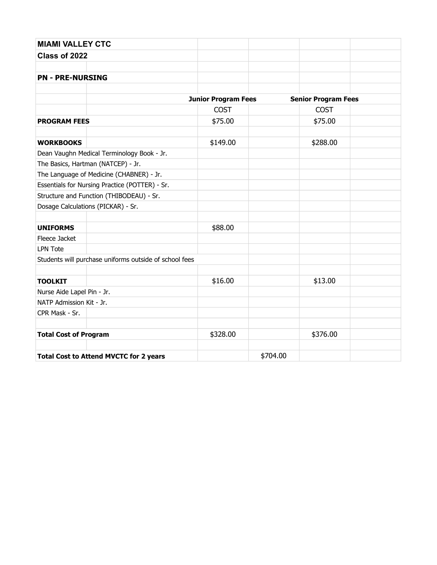| <b>MIAMI VALLEY CTC</b>      |                                                        |                            |          |                            |  |
|------------------------------|--------------------------------------------------------|----------------------------|----------|----------------------------|--|
| Class of 2022                |                                                        |                            |          |                            |  |
|                              |                                                        |                            |          |                            |  |
| <b>PN - PRE-NURSING</b>      |                                                        |                            |          |                            |  |
|                              |                                                        |                            |          |                            |  |
|                              |                                                        | <b>Junior Program Fees</b> |          | <b>Senior Program Fees</b> |  |
|                              |                                                        | <b>COST</b>                |          | <b>COST</b>                |  |
| <b>PROGRAM FEES</b>          |                                                        | \$75.00                    |          | \$75.00                    |  |
|                              |                                                        |                            |          |                            |  |
| <b>WORKBOOKS</b>             |                                                        | \$149.00                   |          | \$288.00                   |  |
|                              | Dean Vaughn Medical Terminology Book - Jr.             |                            |          |                            |  |
|                              | The Basics, Hartman (NATCEP) - Jr.                     |                            |          |                            |  |
|                              | The Language of Medicine (CHABNER) - Jr.               |                            |          |                            |  |
|                              | Essentials for Nursing Practice (POTTER) - Sr.         |                            |          |                            |  |
|                              | Structure and Function (THIBODEAU) - Sr.               |                            |          |                            |  |
|                              | Dosage Calculations (PICKAR) - Sr.                     |                            |          |                            |  |
|                              |                                                        |                            |          |                            |  |
| <b>UNIFORMS</b>              |                                                        | \$88.00                    |          |                            |  |
| Fleece Jacket                |                                                        |                            |          |                            |  |
| <b>LPN Tote</b>              |                                                        |                            |          |                            |  |
|                              | Students will purchase uniforms outside of school fees |                            |          |                            |  |
|                              |                                                        |                            |          |                            |  |
| <b>TOOLKIT</b>               |                                                        | \$16.00                    |          | \$13.00                    |  |
| Nurse Aide Lapel Pin - Jr.   |                                                        |                            |          |                            |  |
| NATP Admission Kit - Jr.     |                                                        |                            |          |                            |  |
| CPR Mask - Sr.               |                                                        |                            |          |                            |  |
| <b>Total Cost of Program</b> |                                                        | \$328.00                   |          | \$376.00                   |  |
|                              |                                                        |                            |          |                            |  |
|                              | <b>Total Cost to Attend MVCTC for 2 years</b>          |                            | \$704.00 |                            |  |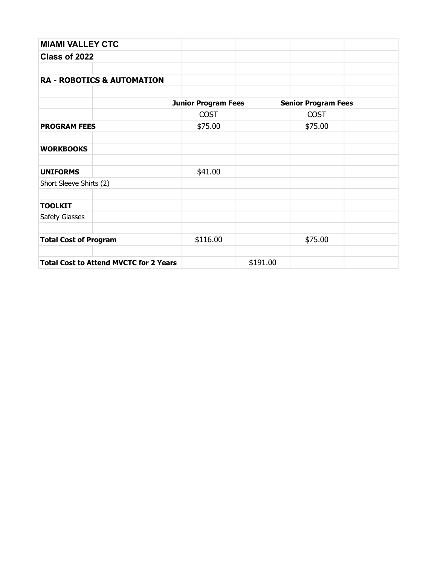| <b>MIAMI VALLEY CTC</b>                       |                            |          |                            |  |
|-----------------------------------------------|----------------------------|----------|----------------------------|--|
| Class of 2022                                 |                            |          |                            |  |
|                                               |                            |          |                            |  |
| <b>RA - ROBOTICS &amp; AUTOMATION</b>         |                            |          |                            |  |
|                                               |                            |          |                            |  |
|                                               | <b>Junior Program Fees</b> |          | <b>Senior Program Fees</b> |  |
|                                               | <b>COST</b>                |          | <b>COST</b>                |  |
| <b>PROGRAM FEES</b>                           | \$75.00                    |          | \$75.00                    |  |
|                                               |                            |          |                            |  |
| <b>WORKBOOKS</b>                              |                            |          |                            |  |
|                                               |                            |          |                            |  |
| <b>UNIFORMS</b>                               | \$41.00                    |          |                            |  |
| Short Sleeve Shirts (2)                       |                            |          |                            |  |
|                                               |                            |          |                            |  |
| <b>TOOLKIT</b>                                |                            |          |                            |  |
| Safety Glasses                                |                            |          |                            |  |
|                                               |                            |          |                            |  |
| <b>Total Cost of Program</b>                  | \$116.00                   |          | \$75.00                    |  |
|                                               |                            |          |                            |  |
| <b>Total Cost to Attend MVCTC for 2 Years</b> |                            | \$191.00 |                            |  |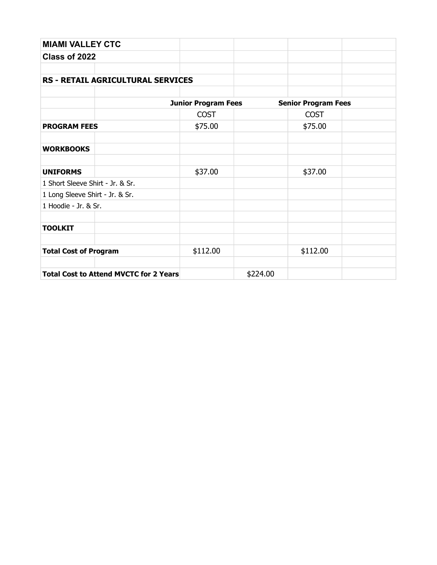| <b>MIAMI VALLEY CTC</b>                       |                            |          |                            |  |
|-----------------------------------------------|----------------------------|----------|----------------------------|--|
| Class of 2022                                 |                            |          |                            |  |
|                                               |                            |          |                            |  |
| <b>RS - RETAIL AGRICULTURAL SERVICES</b>      |                            |          |                            |  |
|                                               |                            |          |                            |  |
|                                               | <b>Junior Program Fees</b> |          | <b>Senior Program Fees</b> |  |
|                                               | <b>COST</b>                |          | <b>COST</b>                |  |
| <b>PROGRAM FEES</b>                           | \$75.00                    |          | \$75.00                    |  |
|                                               |                            |          |                            |  |
| <b>WORKBOOKS</b>                              |                            |          |                            |  |
|                                               |                            |          |                            |  |
| <b>UNIFORMS</b>                               | \$37.00                    |          | \$37.00                    |  |
| 1 Short Sleeve Shirt - Jr. & Sr.              |                            |          |                            |  |
| 1 Long Sleeve Shirt - Jr. & Sr.               |                            |          |                            |  |
| 1 Hoodie - Jr. & Sr.                          |                            |          |                            |  |
|                                               |                            |          |                            |  |
| <b>TOOLKIT</b>                                |                            |          |                            |  |
|                                               |                            |          |                            |  |
| <b>Total Cost of Program</b>                  | \$112.00                   |          | \$112.00                   |  |
|                                               |                            |          |                            |  |
| <b>Total Cost to Attend MVCTC for 2 Years</b> |                            | \$224.00 |                            |  |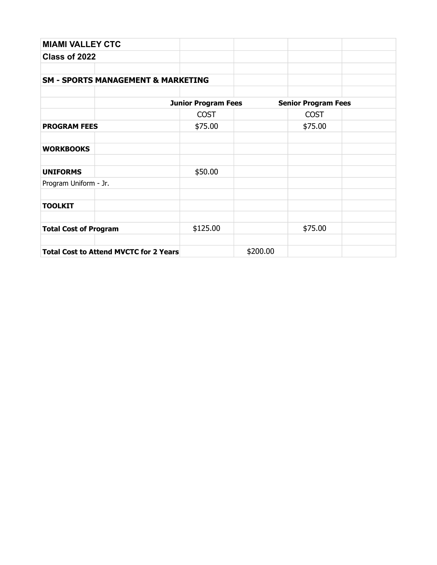| <b>MIAMI VALLEY CTC</b>                       |                            |          |                            |  |  |
|-----------------------------------------------|----------------------------|----------|----------------------------|--|--|
| Class of 2022                                 |                            |          |                            |  |  |
|                                               |                            |          |                            |  |  |
| <b>SM - SPORTS MANAGEMENT &amp; MARKETING</b> |                            |          |                            |  |  |
|                                               |                            |          |                            |  |  |
|                                               | <b>Junior Program Fees</b> |          | <b>Senior Program Fees</b> |  |  |
|                                               | <b>COST</b>                |          | <b>COST</b>                |  |  |
| <b>PROGRAM FEES</b>                           | \$75.00                    |          | \$75.00                    |  |  |
|                                               |                            |          |                            |  |  |
| <b>WORKBOOKS</b>                              |                            |          |                            |  |  |
|                                               |                            |          |                            |  |  |
| <b>UNIFORMS</b>                               | \$50.00                    |          |                            |  |  |
| Program Uniform - Jr.                         |                            |          |                            |  |  |
|                                               |                            |          |                            |  |  |
| <b>TOOLKIT</b>                                |                            |          |                            |  |  |
|                                               |                            |          |                            |  |  |
| <b>Total Cost of Program</b>                  | \$125.00                   |          | \$75.00                    |  |  |
|                                               |                            |          |                            |  |  |
| <b>Total Cost to Attend MVCTC for 2 Years</b> |                            | \$200.00 |                            |  |  |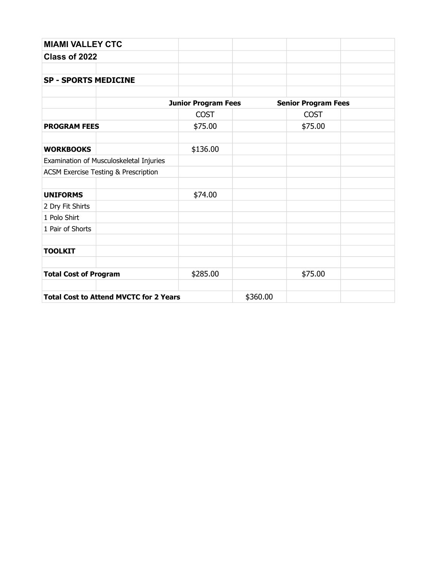| <b>MIAMI VALLEY CTC</b>                       |                            |          |                            |  |
|-----------------------------------------------|----------------------------|----------|----------------------------|--|
| Class of 2022                                 |                            |          |                            |  |
|                                               |                            |          |                            |  |
| <b>SP - SPORTS MEDICINE</b>                   |                            |          |                            |  |
|                                               |                            |          |                            |  |
|                                               | <b>Junior Program Fees</b> |          | <b>Senior Program Fees</b> |  |
|                                               | <b>COST</b>                |          | <b>COST</b>                |  |
| <b>PROGRAM FEES</b>                           | \$75.00                    |          | \$75.00                    |  |
| <b>WORKBOOKS</b>                              | \$136.00                   |          |                            |  |
| Examination of Musculoskeletal Injuries       |                            |          |                            |  |
| ACSM Exercise Testing & Prescription          |                            |          |                            |  |
| <b>UNIFORMS</b>                               | \$74.00                    |          |                            |  |
| 2 Dry Fit Shirts                              |                            |          |                            |  |
| 1 Polo Shirt                                  |                            |          |                            |  |
| 1 Pair of Shorts                              |                            |          |                            |  |
| <b>TOOLKIT</b>                                |                            |          |                            |  |
| <b>Total Cost of Program</b>                  | \$285.00                   |          | \$75.00                    |  |
|                                               |                            |          |                            |  |
| <b>Total Cost to Attend MVCTC for 2 Years</b> |                            | \$360.00 |                            |  |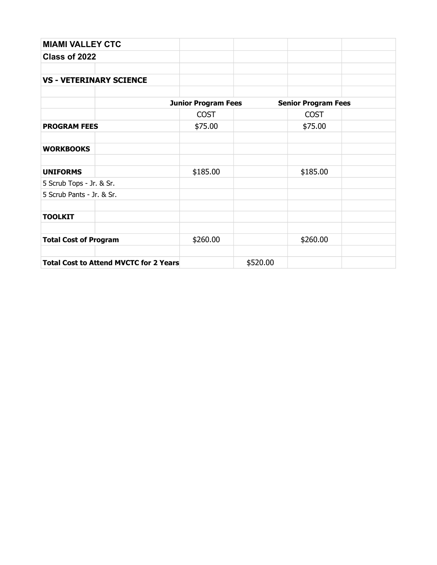| <b>MIAMI VALLEY CTC</b>                       |                            |          |                            |  |
|-----------------------------------------------|----------------------------|----------|----------------------------|--|
| Class of 2022                                 |                            |          |                            |  |
|                                               |                            |          |                            |  |
| <b>VS - VETERINARY SCIENCE</b>                |                            |          |                            |  |
|                                               |                            |          |                            |  |
|                                               | <b>Junior Program Fees</b> |          | <b>Senior Program Fees</b> |  |
|                                               | <b>COST</b>                |          | <b>COST</b>                |  |
| <b>PROGRAM FEES</b>                           | \$75.00                    |          | \$75.00                    |  |
|                                               |                            |          |                            |  |
| <b>WORKBOOKS</b>                              |                            |          |                            |  |
| <b>UNIFORMS</b>                               | \$185.00                   |          | \$185.00                   |  |
| 5 Scrub Tops - Jr. & Sr.                      |                            |          |                            |  |
| 5 Scrub Pants - Jr. & Sr.                     |                            |          |                            |  |
| <b>TOOLKIT</b>                                |                            |          |                            |  |
| <b>Total Cost of Program</b>                  | \$260.00                   |          | \$260.00                   |  |
| <b>Total Cost to Attend MVCTC for 2 Years</b> |                            | \$520.00 |                            |  |